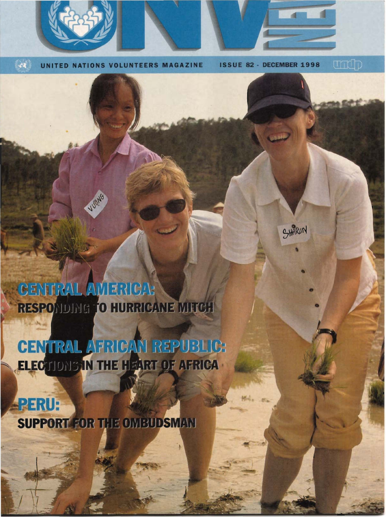UNITED ONS VOLUNTEERS MAGAZINE

 $\sim$ 

**DECEMBER 1998 ISSUE 82-**

SHARON

undp

CENTRAL AMERICAS RESPONDING TO HURRICANE MITCH

**JUDING** 

CENTRAL AFRICAN REPUBLIC: ELECTIONS IN THE HEART OF AFRICA

## **APERU:**

**SUPPORT FOR THE OMBUDSMAN**